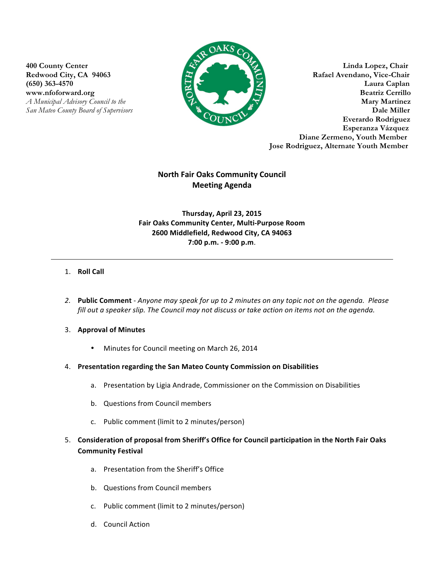

**400 County Center Linda Lopez, Chair** Redwood City, CA 94063 **Rafael Avendano, Vice-Chair (650) 363-4570 Laura Caplan** www.nfoforward.org **Beatriz Cerrillo** *A Municipal Advisory Council to the* **Mary Martinez** *San Mateo County Board of Supervisors* **Dale Miller Everardo Rodriguez Esperanza Vázquez Diane Zermeno, Youth Member Jose Rodriguez, Alternate Youth Member**

# **North Fair Oaks Community Council Meeting Agenda**

# **Thursday, April 23, 2015 Fair Oaks Community Center, Multi-Purpose Room 2600 Middlefield, Redwood City, CA 94063 7:00 p.m. - 9:00 p.m**.

# 1. **Roll Call**

2. **Public Comment** - *Anyone may speak for up to 2 minutes on any topic not on the agenda. Please* fill out a speaker slip. The Council may not discuss or take action on items not on the agenda.

## 3. Approval of Minutes

- Minutes for Council meeting on March 26, 2014
- 4. Presentation regarding the San Mateo County Commission on Disabilities
	- a. Presentation by Ligia Andrade, Commissioner on the Commission on Disabilities
	- b. Questions from Council members
	- c. Public comment (limit to 2 minutes/person)
- 5. Consideration of proposal from Sheriff's Office for Council participation in the North Fair Oaks **Community Festival** 
	- a. Presentation from the Sheriff's Office
	- b. Questions from Council members
	- c. Public comment (limit to 2 minutes/person)
	- d. Council Action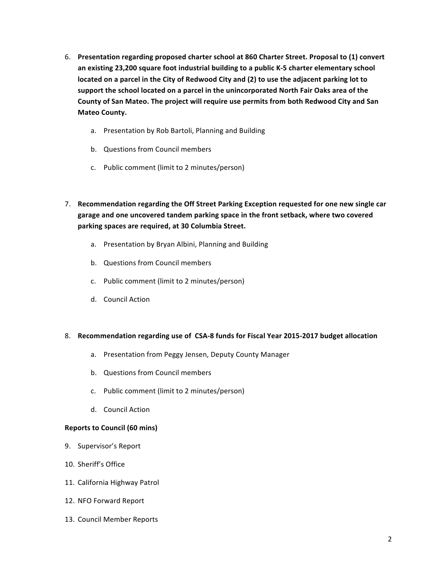- 6. Presentation regarding proposed charter school at 860 Charter Street. Proposal to (1) convert an existing 23,200 square foot industrial building to a public K-5 charter elementary school located on a parcel in the City of Redwood City and (2) to use the adjacent parking lot to support the school located on a parcel in the unincorporated North Fair Oaks area of the County of San Mateo. The project will require use permits from both Redwood City and San **Mateo County.**
	- a. Presentation by Rob Bartoli, Planning and Building
	- b. Questions from Council members
	- c. Public comment (limit to 2 minutes/person)
- 7. Recommendation regarding the Off Street Parking Exception requested for one new single car garage and one uncovered tandem parking space in the front setback, where two covered parking spaces are required, at 30 Columbia Street.
	- a. Presentation by Bryan Albini, Planning and Building
	- b. Questions from Council members
	- c. Public comment (limit to 2 minutes/person)
	- d. Council Action

## 8. **Recommendation regarding use of CSA-8 funds for Fiscal Year 2015-2017 budget allocation**

- a. Presentation from Peggy Jensen, Deputy County Manager
- b. Questions from Council members
- c. Public comment (limit to 2 minutes/person)
- d. Council Action

## **Reports to Council (60 mins)**

- 9. Supervisor's Report
- 10. Sheriff's Office
- 11. California Highway Patrol
- 12. NFO Forward Report
- 13. Council Member Reports